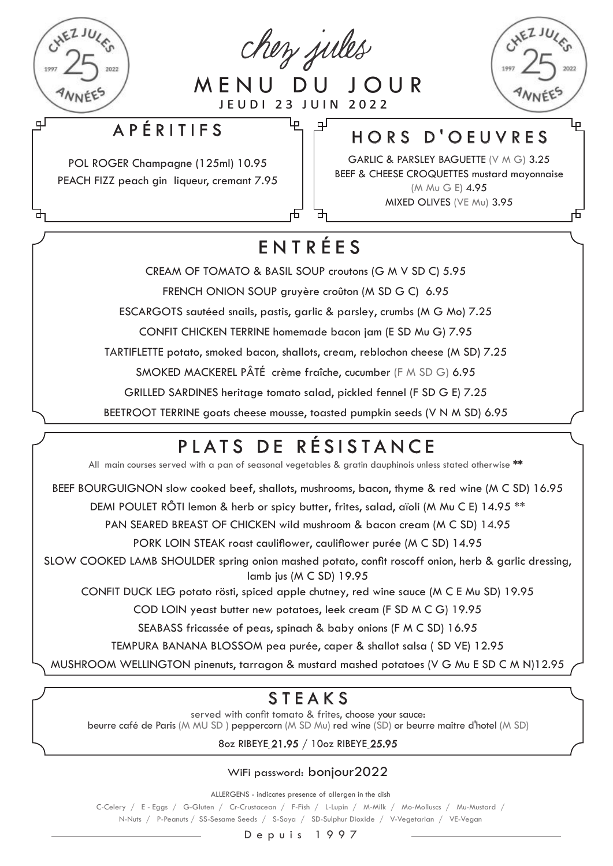

巴

chez jules

MENU DU JOUR jeudi 23 juin 2022

لبا

Æ

டி



击

#### APÉRITIFS

POL ROGER Champagne (125ml) 10.95 PEACH FIZZ peach gin liqueur, cremant 7.95

#### HORS D'OEUVRES

GARLIC & PARSLEY BAGUETTE (V M G) 3.25 BEEF & CHEESE CROQUETTES mustard mayonnaise (M Mu G E) 4.95 MIXED OLIVES (VE Mu) 3.95

## ENTRÉES

CREAM OF TOMATO & BASIL SOUP croutons (G M V SD C) 5.95

FRENCH ONION SOUP gruyère croûton (M SD G C) 6.95

ESCARGOTS sautéed snails, pastis, garlic & parsley, crumbs (M G Mo) 7.25

CONFIT CHICKEN TERRINE homemade bacon jam (E SD Mu G) 7.95

TARTIFLETTE potato, smoked bacon, shallots, cream, reblochon cheese (M SD) 7.25

SMOKED MACKEREL PÂTÉ crème fraîche, cucumber (F M SD G) 6.95

GRILLED SARDINES heritage tomato salad, pickled fennel (F SD G E) 7.25

BEETROOT TERRINE goats cheese mousse, toasted pumpkin seeds (V N M SD) 6.95

# PLATS DE RÉSISTANCE

All main courses served with a pan of seasonal vegetables & gratin dauphinois unless stated otherwise \*\*

BEEF BOURGUIGNON slow cooked beef, shallots, mushrooms, bacon, thyme & red wine (M C SD) 16.95

DEMI POULET RÔTI lemon & herb or spicy butter, frites, salad, aïoli (M Mu C E) 14.95<sup>\*\*</sup>

PAN SEARED BREAST OF CHICKEN wild mushroom & bacon cream (M C SD) 14.95

PORK LOIN STEAK roast cauliflower, cauliflower purée (M C SD) 14.95

SLOW COOKED LAMB SHOULDER spring onion mashed potato, confit roscoff onion, herb & garlic dressing, lamb jus (M C SD) 19.95

CONFIT DUCK LEG potato rösti, spiced apple chutney, red wine sauce (M C E Mu SD) 19.95

COD LOIN yeast butter new potatoes, leek cream (F SD M C G) 19.95

SEABASS fricassée of peas, spinach & baby onions (F M C SD) 16.95

TEMPURA BANANA BLOSSOM pea purée, caper & shallot salsa ( SD VE) 12.95

MUSHROOM WELLINGTON pinenuts, tarragon & mustard mashed potatoes (V G Mu E SD C M N)12.95

## STEAKS

served with confit tomato & frites, choose your sauce: beurre café de Paris (M MU SD ) peppercorn (M SD Mu) red wine (SD) or beurre maitre d'hotel (M SD)

8oz RIBEYE 21.95 / 10oz RIBEYE 25.95

WiFi password: bonjour2022

ALLERGENS - indicates presence of allergen in the dish

C-Celery / E - Eggs / G-Gluten / Cr-Crustacean / F-Fish / L-Lupin / M-Milk / Mo-Molluscs / Mu-Mustard / N-Nuts / P-Peanuts / SS-Sesame Seeds / S-Soya / SD-Sulphur Dioxide / V-Vegetarian / VE-Vegan

Depuis 1997